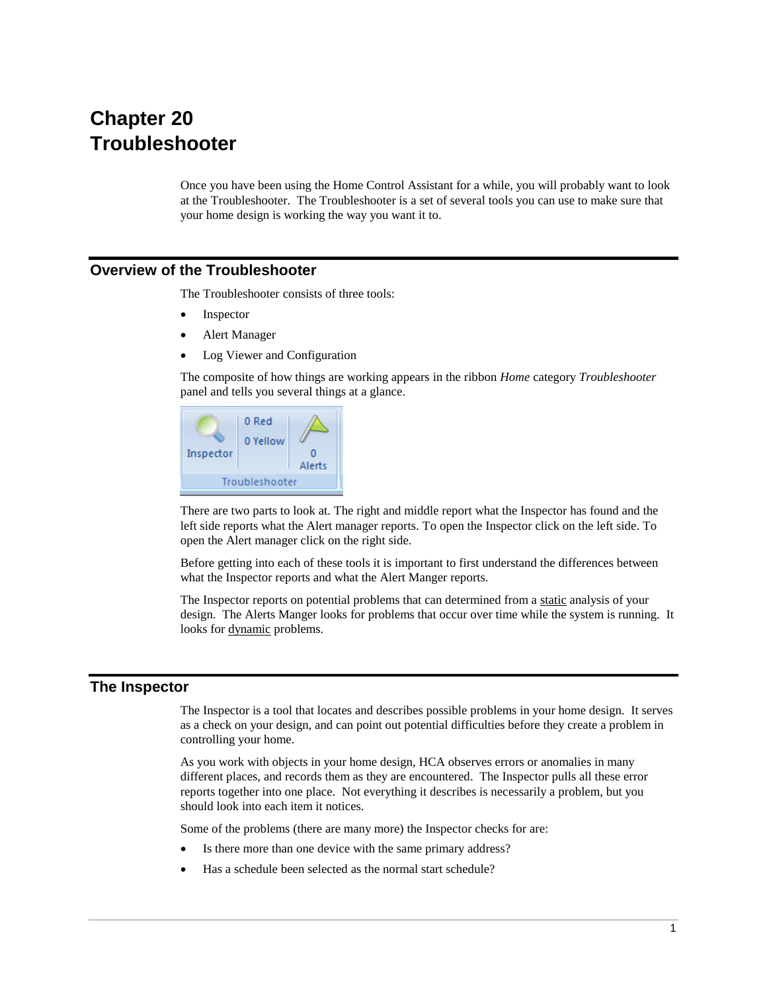# **Chapter 20 Troubleshooter**

Once you have been using the Home Control Assistant for a while, you will probably want to look at the Troubleshooter. The Troubleshooter is a set of several tools you can use to make sure that your home design is working the way you want it to.

# **Overview of the Troubleshooter**

The Troubleshooter consists of three tools:

- **Inspector**
- Alert Manager
- Log Viewer and Configuration

The composite of how things are working appears in the ribbon *Home* category *Troubleshooter* panel and tells you several things at a glance.



There are two parts to look at. The right and middle report what the Inspector has found and the left side reports what the Alert manager reports. To open the Inspector click on the left side. To open the Alert manager click on the right side.

Before getting into each of these tools it is important to first understand the differences between what the Inspector reports and what the Alert Manger reports.

The Inspector reports on potential problems that can determined from a static analysis of your design. The Alerts Manger looks for problems that occur over time while the system is running. It looks for dynamic problems.

# **The Inspector**

The Inspector is a tool that locates and describes possible problems in your home design. It serves as a check on your design, and can point out potential difficulties before they create a problem in controlling your home.

As you work with objects in your home design, HCA observes errors or anomalies in many different places, and records them as they are encountered. The Inspector pulls all these error reports together into one place. Not everything it describes is necessarily a problem, but you should look into each item it notices.

Some of the problems (there are many more) the Inspector checks for are:

- Is there more than one device with the same primary address?
- Has a schedule been selected as the normal start schedule?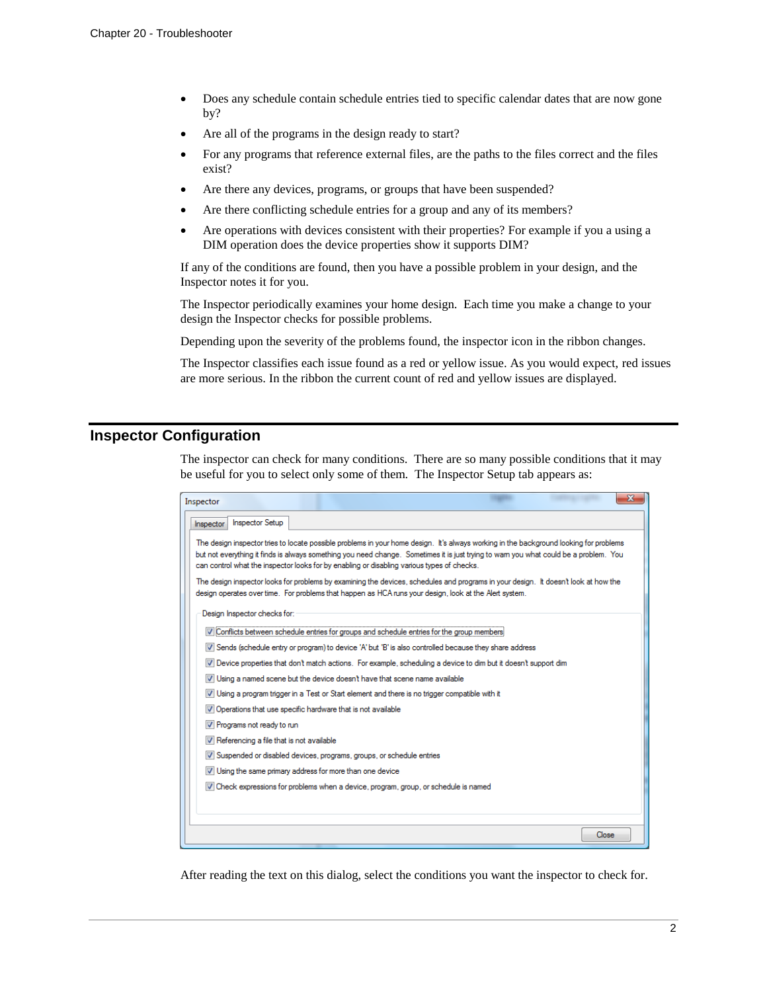- Does any schedule contain schedule entries tied to specific calendar dates that are now gone by?
- Are all of the programs in the design ready to start?
- For any programs that reference external files, are the paths to the files correct and the files exist?
- Are there any devices, programs, or groups that have been suspended?
- Are there conflicting schedule entries for a group and any of its members?
- Are operations with devices consistent with their properties? For example if you a using a DIM operation does the device properties show it supports DIM?

If any of the conditions are found, then you have a possible problem in your design, and the Inspector notes it for you.

The Inspector periodically examines your home design. Each time you make a change to your design the Inspector checks for possible problems.

Depending upon the severity of the problems found, the inspector icon in the ribbon changes.

The Inspector classifies each issue found as a red or yellow issue. As you would expect, red issues are more serious. In the ribbon the current count of red and yellow issues are displayed.

# **Inspector Configuration**

The inspector can check for many conditions. There are so many possible conditions that it may be useful for you to select only some of them. The Inspector Setup tab appears as:

| Inspector                                                                                                                                                                                                                                                                                                                                                                    |
|------------------------------------------------------------------------------------------------------------------------------------------------------------------------------------------------------------------------------------------------------------------------------------------------------------------------------------------------------------------------------|
| <b>Inspector Setup</b><br>Inspector                                                                                                                                                                                                                                                                                                                                          |
| The design inspector tries to locate possible problems in your home design. It's always working in the background looking for problems<br>but not everything it finds is always something you need change. Sometimes it is just trying to wam you what could be a problem. You<br>can control what the inspector looks for by enabling or disabling various types of checks. |
| The design inspector looks for problems by examining the devices, schedules and programs in your design. It doesn't look at how the<br>design operates over time. For problems that happen as HCA runs your design, look at the Alert system.                                                                                                                                |
| Design Inspector checks for:                                                                                                                                                                                                                                                                                                                                                 |
| 7 Conflicts between schedule entries for groups and schedule entries for the group members:                                                                                                                                                                                                                                                                                  |
| V Sends (schedule entry or program) to device 'A' but 'B' is also controlled because they share address                                                                                                                                                                                                                                                                      |
| V Device properties that don't match actions. For example, scheduling a device to dim but it doesn't support dim                                                                                                                                                                                                                                                             |
| V Using a named scene but the device doesn't have that scene name available                                                                                                                                                                                                                                                                                                  |
| $\nabla$ Using a program trigger in a Test or Start element and there is no trigger compatible with it                                                                                                                                                                                                                                                                       |
| V Operations that use specific hardware that is not available                                                                                                                                                                                                                                                                                                                |
| V Programs not ready to run                                                                                                                                                                                                                                                                                                                                                  |
| V Referencing a file that is not available                                                                                                                                                                                                                                                                                                                                   |
| V Suspended or disabled devices, programs, groups, or schedule entries                                                                                                                                                                                                                                                                                                       |
| V Using the same primary address for more than one device                                                                                                                                                                                                                                                                                                                    |
| 7 Check expressions for problems when a device, program, group, or schedule is named                                                                                                                                                                                                                                                                                         |
|                                                                                                                                                                                                                                                                                                                                                                              |
|                                                                                                                                                                                                                                                                                                                                                                              |
| Close                                                                                                                                                                                                                                                                                                                                                                        |

After reading the text on this dialog, select the conditions you want the inspector to check for.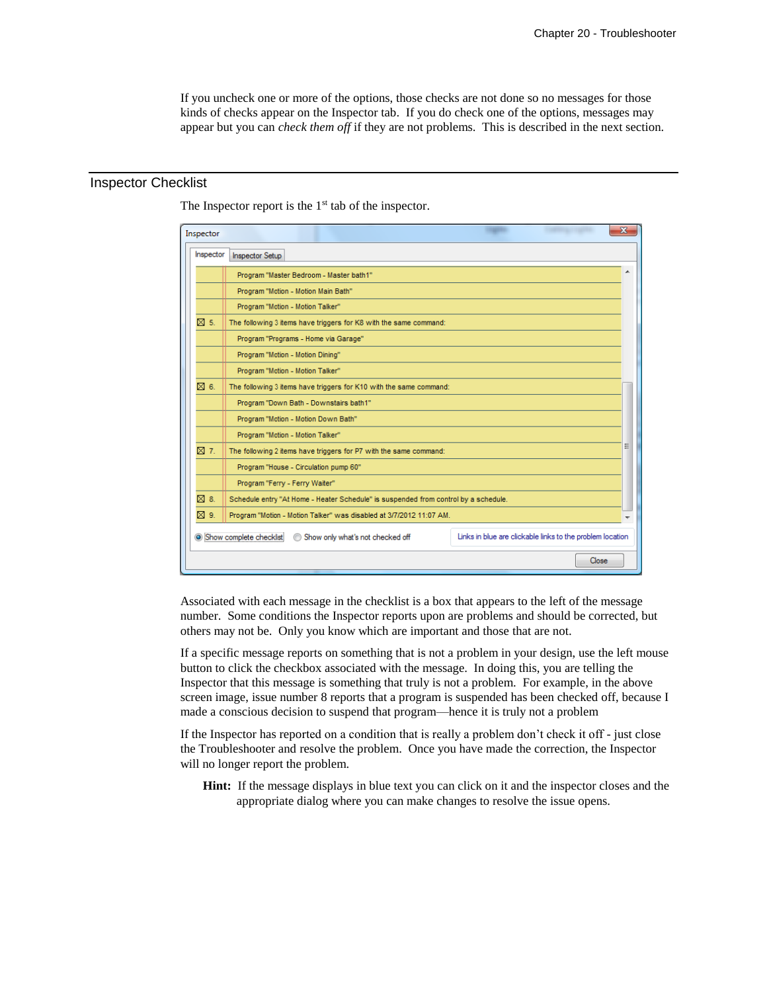If you uncheck one or more of the options, those checks are not done so no messages for those kinds of checks appear on the Inspector tab. If you do check one of the options, messages may appear but you can *check them off* if they are not problems. This is described in the next section.

# Inspector Checklist

The Inspector report is the  $1<sup>st</sup>$  tab of the inspector.

| Inspector      |                                                                                     |                                                           |       | x |
|----------------|-------------------------------------------------------------------------------------|-----------------------------------------------------------|-------|---|
| Inspector      | <b>Inspector Setup</b>                                                              |                                                           |       |   |
|                | Program "Master Bedroom - Master bath1"                                             |                                                           |       | ▲ |
|                | Program "Motion - Motion Main Bath"                                                 |                                                           |       |   |
|                | Program "Motion - Motion Talker"                                                    |                                                           |       |   |
| $\boxtimes$ 5. | The following 3 items have triggers for K8 with the same command:                   |                                                           |       |   |
|                | Program "Programs - Home via Garage"                                                |                                                           |       |   |
|                | Program "Motion - Motion Dining"                                                    |                                                           |       |   |
|                | Program "Motion - Motion Talker"                                                    |                                                           |       |   |
| ⊠ 6.           | The following 3 items have triggers for K10 with the same command:                  |                                                           |       |   |
|                | Program "Down Bath - Downstairs bath1"                                              |                                                           |       |   |
|                | Program "Motion - Motion Down Bath"                                                 |                                                           |       |   |
|                | Program "Motion - Motion Talker"                                                    |                                                           |       |   |
| ⊠ 7.           | The following 2 items have triggers for P7 with the same command:                   |                                                           |       | Ξ |
|                | Program "House - Circulation pump 60"                                               |                                                           |       |   |
|                | Program "Ferry - Ferry Waiter"                                                      |                                                           |       |   |
| $\boxtimes$ 8. | Schedule entry "At Home - Heater Schedule" is suspended from control by a schedule. |                                                           |       |   |
| ⊠ 9.           | Program "Motion - Motion Talker" was disabled at 3/7/2012 11:07 AM.                 |                                                           |       |   |
|                | Show complete checklist<br>Show only what's not checked off                         | Links in blue are clickable links to the problem location |       |   |
|                |                                                                                     |                                                           | Close |   |

Associated with each message in the checklist is a box that appears to the left of the message number. Some conditions the Inspector reports upon are problems and should be corrected, but others may not be. Only you know which are important and those that are not.

If a specific message reports on something that is not a problem in your design, use the left mouse button to click the checkbox associated with the message. In doing this, you are telling the Inspector that this message is something that truly is not a problem. For example, in the above screen image, issue number 8 reports that a program is suspended has been checked off, because I made a conscious decision to suspend that program—hence it is truly not a problem

If the Inspector has reported on a condition that is really a problem don't check it off - just close the Troubleshooter and resolve the problem. Once you have made the correction, the Inspector will no longer report the problem.

**Hint:** If the message displays in blue text you can click on it and the inspector closes and the appropriate dialog where you can make changes to resolve the issue opens.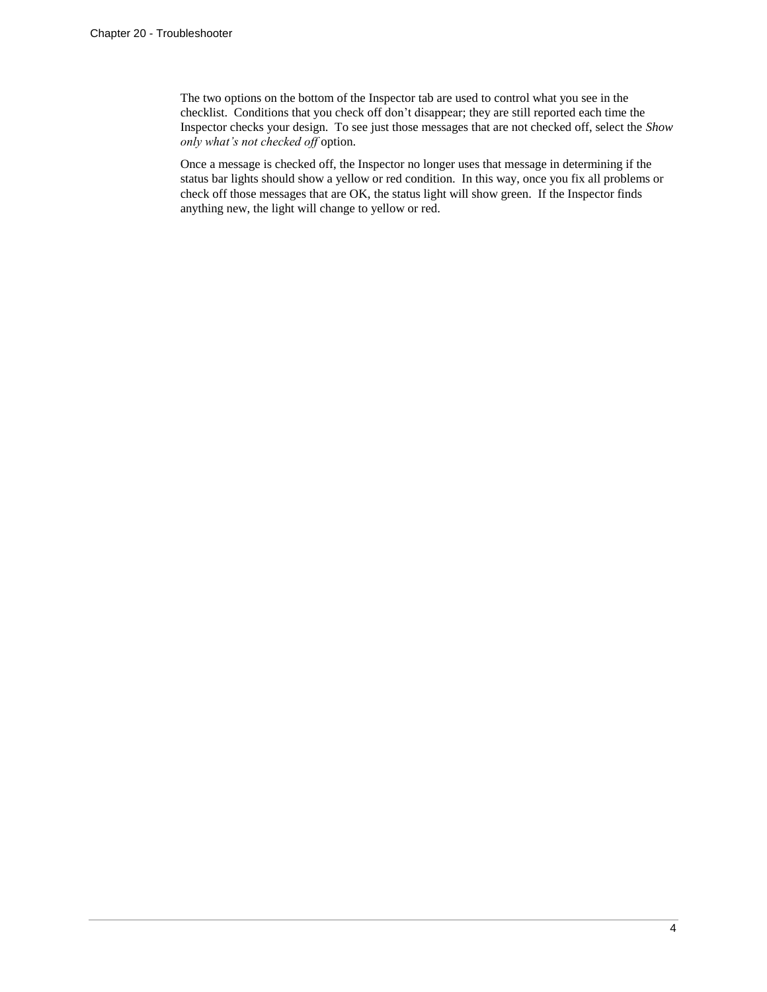The two options on the bottom of the Inspector tab are used to control what you see in the checklist. Conditions that you check off don't disappear; they are still reported each time the Inspector checks your design. To see just those messages that are not checked off, select the *Show only what's not checked off* option.

Once a message is checked off, the Inspector no longer uses that message in determining if the status bar lights should show a yellow or red condition. In this way, once you fix all problems or check off those messages that are OK, the status light will show green. If the Inspector finds anything new, the light will change to yellow or red.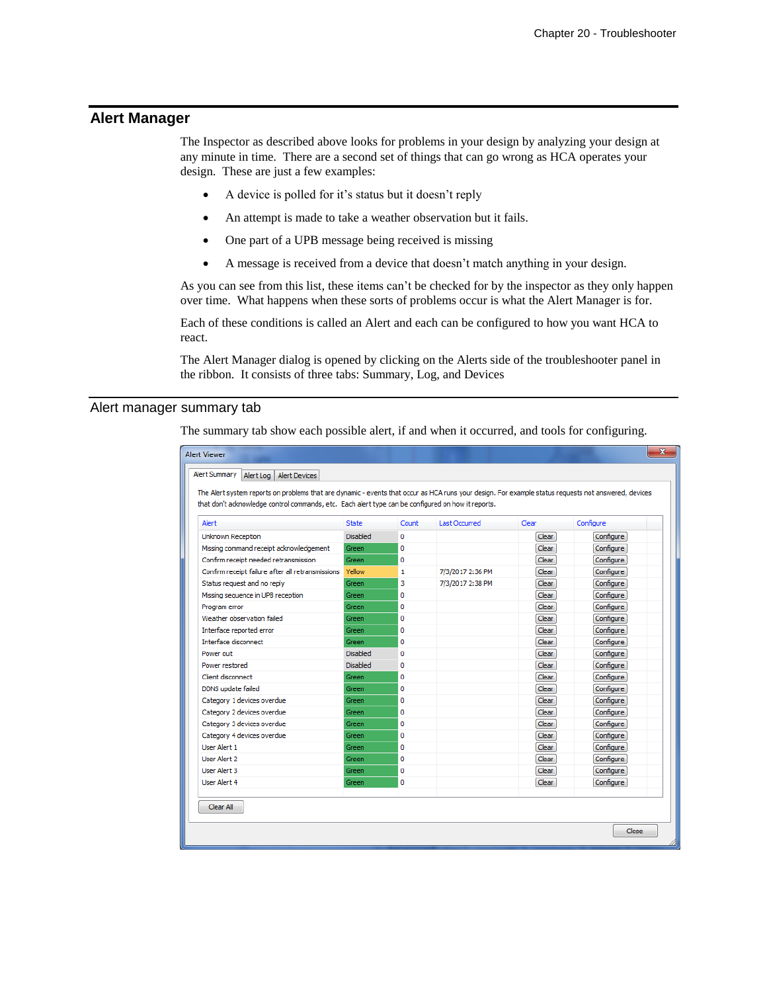# **Alert Manager**

The Inspector as described above looks for problems in your design by analyzing your design at any minute in time. There are a second set of things that can go wrong as HCA operates your design. These are just a few examples:

- A device is polled for it's status but it doesn't reply
- An attempt is made to take a weather observation but it fails.
- One part of a UPB message being received is missing
- A message is received from a device that doesn't match anything in your design.

As you can see from this list, these items can't be checked for by the inspector as they only happen over time. What happens when these sorts of problems occur is what the Alert Manager is for.

Each of these conditions is called an Alert and each can be configured to how you want HCA to react.

The Alert Manager dialog is opened by clicking on the Alerts side of the troubleshooter panel in the ribbon. It consists of three tabs: Summary, Log, and Devices

### Alert manager summary tab

The summary tab show each possible alert, if and when it occurred, and tools for configuring.

| $\mathbf{x}$<br><b>Alert Viewer</b>                                                                                                                  |                 |          |                      |              |           |  |  |
|------------------------------------------------------------------------------------------------------------------------------------------------------|-----------------|----------|----------------------|--------------|-----------|--|--|
| <b>Alert Summary</b><br>Alert Log   Alert Devices                                                                                                    |                 |          |                      |              |           |  |  |
| The Alert system reports on problems that are dynamic - events that occur as HCA runs your design. For example status requests not answered, devices |                 |          |                      |              |           |  |  |
| that don't acknowledge control commands, etc. Each alert type can be configured on how it reports.                                                   |                 |          |                      |              |           |  |  |
|                                                                                                                                                      |                 |          |                      |              |           |  |  |
| Alert                                                                                                                                                | <b>State</b>    | Count    | <b>Last Occurred</b> | Clear        | Configure |  |  |
| Unknown Reception                                                                                                                                    | <b>Disabled</b> | $\Omega$ |                      | Clear        | Configure |  |  |
| Missing command receipt acknowledgement                                                                                                              | Green           | 0        |                      | Clear        | Configure |  |  |
| Confirm receipt needed retransmission                                                                                                                | Green           | 0        |                      | Clear        | Configure |  |  |
| Confirm receipt failure after all retransmissions                                                                                                    | Yellow          | 1        | 7/3/2017 2:36 PM     | Clear        | Configure |  |  |
| Status request and no reply                                                                                                                          | Green           | 3        | 7/3/2017 2:38 PM     | Clear        | Configure |  |  |
| Missing sequence in UPB reception                                                                                                                    | Green           | 0        |                      | <b>Clear</b> | Configure |  |  |
| Program error                                                                                                                                        | Green           | o        |                      | Clear        | Configure |  |  |
| Weather observation failed                                                                                                                           | Green           | 0        |                      | <b>Clear</b> | Configure |  |  |
| Interface reported error                                                                                                                             | Green           | o        |                      | <b>Clear</b> | Configure |  |  |
| Interface disconnect                                                                                                                                 | Green           | 0        |                      | <b>Clear</b> | Configure |  |  |
| Power out                                                                                                                                            | <b>Disabled</b> | o        |                      | Clear        | Configure |  |  |
| Power restored                                                                                                                                       | <b>Disabled</b> | o        |                      | Clear        | Configure |  |  |
| Client disconnect                                                                                                                                    | Green           | $\Omega$ |                      | <b>Clear</b> | Configure |  |  |
| DDNS update failed                                                                                                                                   | Green           | 0        |                      | Clear        | Configure |  |  |
| Category 1 devices overdue                                                                                                                           | Green           | 0        |                      | <b>Clear</b> | Configure |  |  |
| Category 2 devices overdue                                                                                                                           | Green           | 0        |                      | Clear        | Configure |  |  |
| Category 3 devices overdue                                                                                                                           | Green           | 0        |                      | Clear        | Configure |  |  |
| Category 4 devices overdue                                                                                                                           | Green           | 0        |                      | Clear        | Configure |  |  |
| <b>User Alert 1</b>                                                                                                                                  | Green           | 0        |                      | Clear        | Configure |  |  |
| Liser Alert 2                                                                                                                                        | Green           | o        |                      | Clear        | Configure |  |  |
| <b>User Alert 3</b>                                                                                                                                  | Green           | 0        |                      | <b>Clear</b> | Configure |  |  |
| User Alert 4                                                                                                                                         | Green           | 0        |                      | Clear        | Configure |  |  |
| Clear All                                                                                                                                            |                 |          |                      |              |           |  |  |
|                                                                                                                                                      |                 |          |                      |              | Close     |  |  |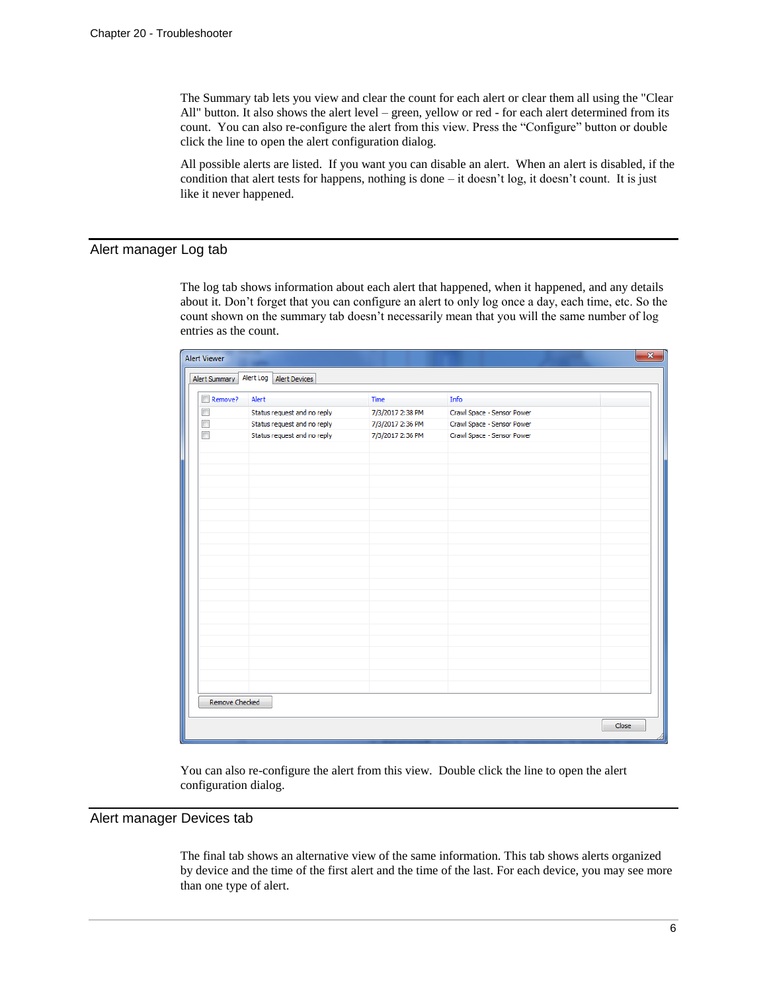The Summary tab lets you view and clear the count for each alert or clear them all using the "Clear All" button. It also shows the alert level – green, yellow or red - for each alert determined from its count. You can also re-configure the alert from this view. Press the "Configure" button or double click the line to open the alert configuration dialog.

All possible alerts are listed. If you want you can disable an alert. When an alert is disabled, if the condition that alert tests for happens, nothing is done - it doesn't log, it doesn't count. It is just like it never happened.

### Alert manager Log tab

The log tab shows information about each alert that happened, when it happened, and any details about it. Don't forget that you can configure an alert to only log once a day, each time, etc. So the count shown on the summary tab doesn't necessarily mean that you will the same number of log entries as the count.

| Alert Summary  | Alert Log Alert Devices     |                  |                            |       |
|----------------|-----------------------------|------------------|----------------------------|-------|
| Remove?        | Alert                       | Time             | Info                       |       |
| $\Box$         | Status request and no reply | 7/3/2017 2:38 PM | Crawl Space - Sensor Power |       |
| $\Box$         | Status request and no reply | 7/3/2017 2:36 PM | Crawl Space - Sensor Power |       |
| $\Box$         | Status request and no reply | 7/3/2017 2:36 PM | Crawl Space - Sensor Power |       |
|                |                             |                  |                            |       |
|                |                             |                  |                            |       |
|                |                             |                  |                            |       |
|                |                             |                  |                            |       |
|                |                             |                  |                            |       |
|                |                             |                  |                            |       |
|                |                             |                  |                            |       |
|                |                             |                  |                            |       |
|                |                             |                  |                            |       |
|                |                             |                  |                            |       |
|                |                             |                  |                            |       |
|                |                             |                  |                            |       |
|                |                             |                  |                            |       |
|                |                             |                  |                            |       |
|                |                             |                  |                            |       |
|                |                             |                  |                            |       |
|                |                             |                  |                            |       |
|                |                             |                  |                            |       |
|                |                             |                  |                            |       |
|                |                             |                  |                            |       |
| Remove Checked |                             |                  |                            |       |
|                |                             |                  |                            | Close |

You can also re-configure the alert from this view. Double click the line to open the alert configuration dialog.

### Alert manager Devices tab

The final tab shows an alternative view of the same information. This tab shows alerts organized by device and the time of the first alert and the time of the last. For each device, you may see more than one type of alert.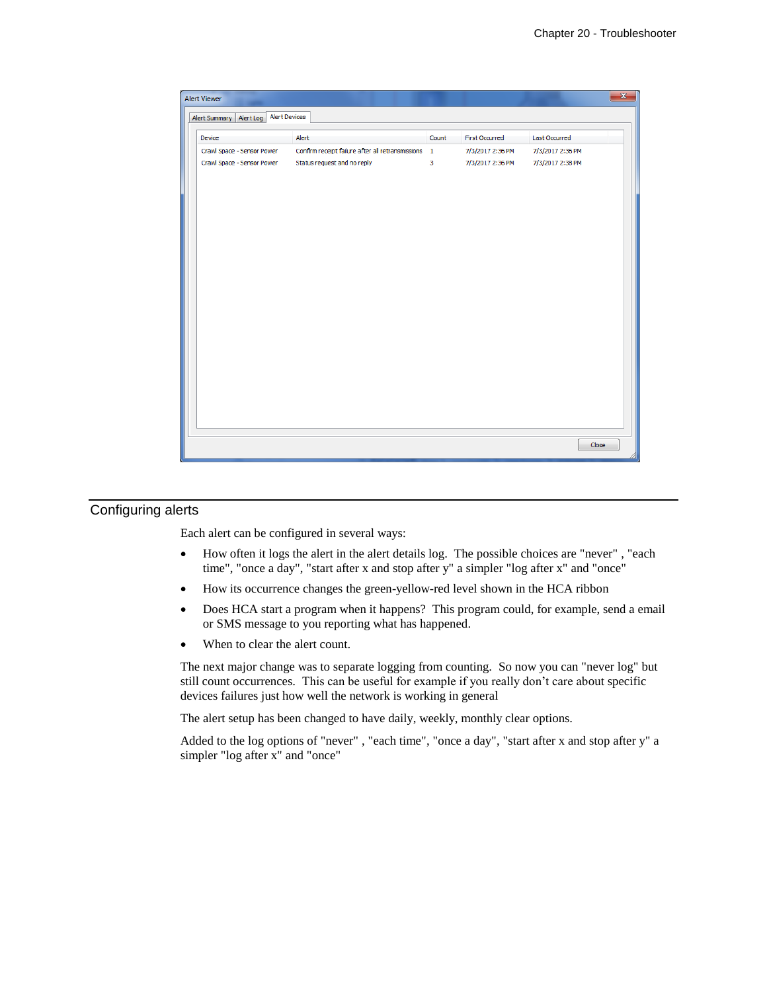| Alert Summary   Alert Log   Alert Devices |                                                     |       |                  |                  |
|-------------------------------------------|-----------------------------------------------------|-------|------------------|------------------|
| Device                                    | Alert                                               | Count | First Occurred   | Last Occurred    |
| Crawl Space - Sensor Power                | Confirm receipt failure after all retransmissions 1 |       | 7/3/2017 2:36 PM | 7/3/2017 2:36 PM |
| Crawl Space - Sensor Power                | Status request and no reply                         | 3     | 7/3/2017 2:36 PM | 7/3/2017 2:38 PM |
|                                           |                                                     |       |                  |                  |
|                                           |                                                     |       |                  |                  |
|                                           |                                                     |       |                  |                  |
|                                           |                                                     |       |                  |                  |
|                                           |                                                     |       |                  |                  |
|                                           |                                                     |       |                  |                  |
|                                           |                                                     |       |                  |                  |
|                                           |                                                     |       |                  |                  |
|                                           |                                                     |       |                  |                  |
|                                           |                                                     |       |                  |                  |
|                                           |                                                     |       |                  |                  |
|                                           |                                                     |       |                  |                  |
|                                           |                                                     |       |                  |                  |
|                                           |                                                     |       |                  |                  |
|                                           |                                                     |       |                  |                  |
|                                           |                                                     |       |                  | Close            |

# Configuring alerts

Each alert can be configured in several ways:

- How often it logs the alert in the alert details log. The possible choices are "never", "each time", "once a day", "start after x and stop after y" a simpler "log after x" and "once"
- How its occurrence changes the green-yellow-red level shown in the HCA ribbon
- Does HCA start a program when it happens? This program could, for example, send a email or SMS message to you reporting what has happened.
- When to clear the alert count.

The next major change was to separate logging from counting. So now you can "never log" but still count occurrences. This can be useful for example if you really don't care about specific devices failures just how well the network is working in general

The alert setup has been changed to have daily, weekly, monthly clear options.

Added to the log options of "never" , "each time", "once a day", "start after x and stop after y" a simpler "log after x" and "once"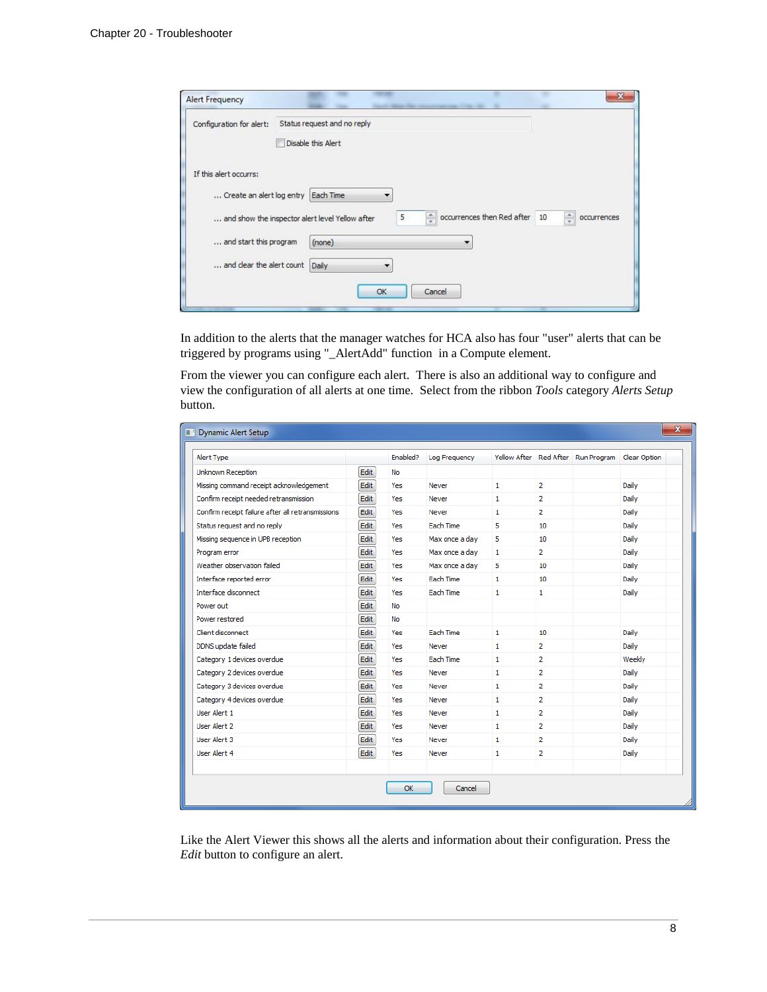| Configuration for alert:  | Status request and no reply                                                                                       |
|---------------------------|-------------------------------------------------------------------------------------------------------------------|
|                           | Disable this Alert                                                                                                |
| If this alert occurrs:    |                                                                                                                   |
| Create an alert log entry | Each Time                                                                                                         |
|                           | occurrences then Red after<br>÷<br>즉<br>5<br>10<br>occurrences<br>and show the inspector alert level Yellow after |
| and start this program    | (none)<br>▼                                                                                                       |
|                           |                                                                                                                   |

In addition to the alerts that the manager watches for HCA also has four "user" alerts that can be triggered by programs using "\_AlertAdd" function in a Compute element.

From the viewer you can configure each alert. There is also an additional way to configure and view the configuration of all alerts at one time. Select from the ribbon *Tools* category *Alerts Setup* button.

| <b>Dynamic Alert Setup</b>                        |      |          |                  |              |                  |                                                 |        |
|---------------------------------------------------|------|----------|------------------|--------------|------------------|-------------------------------------------------|--------|
| Alert Type                                        |      | Enabled? | Log Frequency    |              |                  | Yellow After Red After Run Program Clear Option |        |
| Unknown Reception                                 | Edit | No       |                  |              |                  |                                                 |        |
| Missing command receipt acknowledgement           | Edit | Yes      | Never            | $\mathbf{1}$ | $\overline{2}$   |                                                 | Daily  |
| Confirm receipt needed retransmission             | Edit | Yes      | Never            | 1.           | $\overline{2}$   |                                                 | Daily  |
| Confirm receipt failure after all retransmissions | Edit | Yes      | Never            | $\mathbf{1}$ | 2                |                                                 | Daily  |
| Status request and no reply                       | Edit | Yes      | Fach Time        | 5            | 10 <sup>10</sup> |                                                 | Daily  |
| Missing sequence in UPB reception                 | Edit | Yes      | Max once a day   | 5            | 10 <sup>10</sup> |                                                 | Daily  |
| Program error                                     | Edit | Yes      | Max once a dav   | $\mathbf{1}$ | 2                |                                                 | Daily  |
| Weather observation failed                        | Edit | Yes      | Max once a day   | 5            | 10               |                                                 | Daily  |
| Interface reported error                          | Edit | Yes      | Fach Time        | $\mathbf{1}$ | 10 <sup>10</sup> |                                                 | Daily  |
| Interface disconnect                              | Edit | Yes      | <b>Each Time</b> | $\mathbf{1}$ | $\mathbf{1}$     |                                                 | Daily  |
| Power out                                         | Edit | No       |                  |              |                  |                                                 |        |
| Power restored                                    | Edit | No       |                  |              |                  |                                                 |        |
| Client disconnect                                 | Edit | Yes      | Each Time        | $\mathbf{1}$ | 10 <sup>10</sup> |                                                 | Daily  |
| DDNS update failed                                | Edit | Yes      | Never            | $\mathbf{1}$ | $\overline{2}$   |                                                 | Daily  |
| Category 1 devices overdue                        | Edit | Yes      | Each Time        | 1.           | $\overline{2}$   |                                                 | Weekly |
| Category 2 devices overdue                        | Edit | Yes      | Never            | 1            | $\overline{2}$   |                                                 | Daily  |
| Category 3 devices overdue                        | Edit | Yes      | Never            | 1.           | $\overline{2}$   |                                                 | Daily  |
| Category 4 devices overdue                        | Edit | Yes      | Never            | $\mathbf{1}$ | 2                |                                                 | Daily  |
| User Alert 1                                      | Edit | Yes      | Never            | 1.           | $\overline{2}$   |                                                 | Daily  |
| <b>User Alert 2</b>                               | Edit | Yes      | Never            | 1.           | 2                |                                                 | Daily  |
| <b>Liser Alert 3</b>                              | Edit | Yes      | Never            | 1.           | $\overline{2}$   |                                                 | Daily  |
| <b>User Alert 4</b>                               | Edit | Yes      | Never            | 1            | $\overline{2}$   |                                                 | Daily  |
|                                                   |      |          |                  |              |                  |                                                 |        |

Like the Alert Viewer this shows all the alerts and information about their configuration. Press the *Edit* button to configure an alert.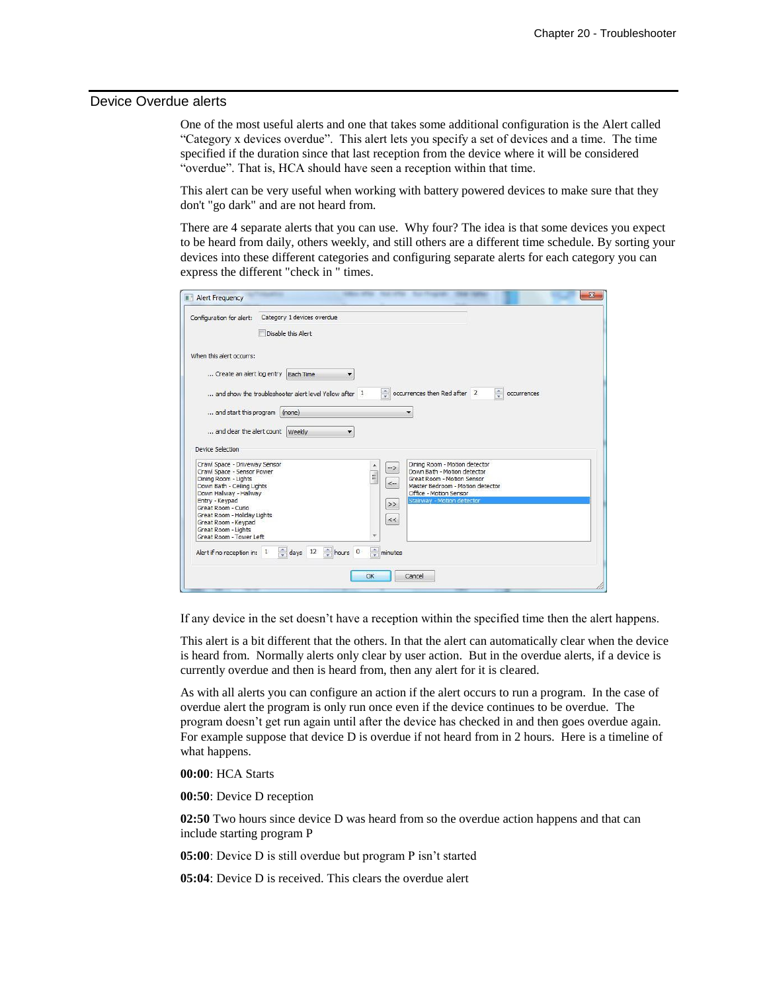#### Device Overdue alerts

One of the most useful alerts and one that takes some additional configuration is the Alert called "Category x devices overdue". This alert lets you specify a set of devices and a time. The time specified if the duration since that last reception from the device where it will be considered "overdue". That is, HCA should have seen a reception within that time.

This alert can be very useful when working with battery powered devices to make sure that they don't "go dark" and are not heard from.

There are 4 separate alerts that you can use. Why four? The idea is that some devices you expect to be heard from daily, others weekly, and still others are a different time schedule. By sorting your devices into these different categories and configuring separate alerts for each category you can express the different "check in " times.

| Configuration for alert:                                                                                                   | Category 1 devices overdue                             |                                                          |                                                                                                                                |                              |
|----------------------------------------------------------------------------------------------------------------------------|--------------------------------------------------------|----------------------------------------------------------|--------------------------------------------------------------------------------------------------------------------------------|------------------------------|
|                                                                                                                            | Disable this Alert                                     |                                                          |                                                                                                                                |                              |
| When this alert occurrs:                                                                                                   |                                                        |                                                          |                                                                                                                                |                              |
|                                                                                                                            | Create an alert log entry Each Time<br>▼               |                                                          |                                                                                                                                |                              |
|                                                                                                                            | and show the troubleshooter alert level Yellow after 1 | $\Rightarrow$                                            | occurrences then Red after 2                                                                                                   | $\frac{1}{2}$<br>occurrences |
| and start this program (none)                                                                                              |                                                        |                                                          |                                                                                                                                |                              |
|                                                                                                                            | and clear the alert count Weekly                       |                                                          |                                                                                                                                |                              |
| Device Selection                                                                                                           |                                                        |                                                          |                                                                                                                                |                              |
| Crawl Space - Driveway Sensor<br>Crawl Space - Sensor Power                                                                |                                                        | $\mathord{\rightarrow}$<br>$\frac{1}{2}$<br>$\leftarrow$ | Dining Room - Motion detector<br>Down Bath - Motion detector<br>Great Room - Motion Sensor<br>Master Bedroom - Motion detector |                              |
| Dining Room - Lights<br>Down Bath - Ceiling Lights                                                                         |                                                        |                                                          |                                                                                                                                |                              |
| Down Hallway - Hallway<br>Entry - Keypad                                                                                   |                                                        |                                                          | Office - Motion Sensor<br>Stairway - Motion detector                                                                           |                              |
| Great Room - Curio<br>Great Room - Holiday Lights<br>Great Room - Keypad<br>Great Room - Lights<br>Great Room - Tower Left |                                                        | $\,>$<br>$<<$                                            |                                                                                                                                |                              |
| Alert if no reception in: 1                                                                                                | $\frac{1}{x}$ hours 0<br>$\frac{4}{x}$ days 12         | $\frac{1}{x}$ minutes                                    |                                                                                                                                |                              |

If any device in the set doesn't have a reception within the specified time then the alert happens.

This alert is a bit different that the others. In that the alert can automatically clear when the device is heard from. Normally alerts only clear by user action. But in the overdue alerts, if a device is currently overdue and then is heard from, then any alert for it is cleared.

As with all alerts you can configure an action if the alert occurs to run a program. In the case of overdue alert the program is only run once even if the device continues to be overdue. The program doesn't get run again until after the device has checked in and then goes overdue again. For example suppose that device D is overdue if not heard from in 2 hours. Here is a timeline of what happens.

**00:00**: HCA Starts

**00:50**: Device D reception

**02:50** Two hours since device D was heard from so the overdue action happens and that can include starting program P

**05:00**: Device D is still overdue but program P isn't started

**05:04**: Device D is received. This clears the overdue alert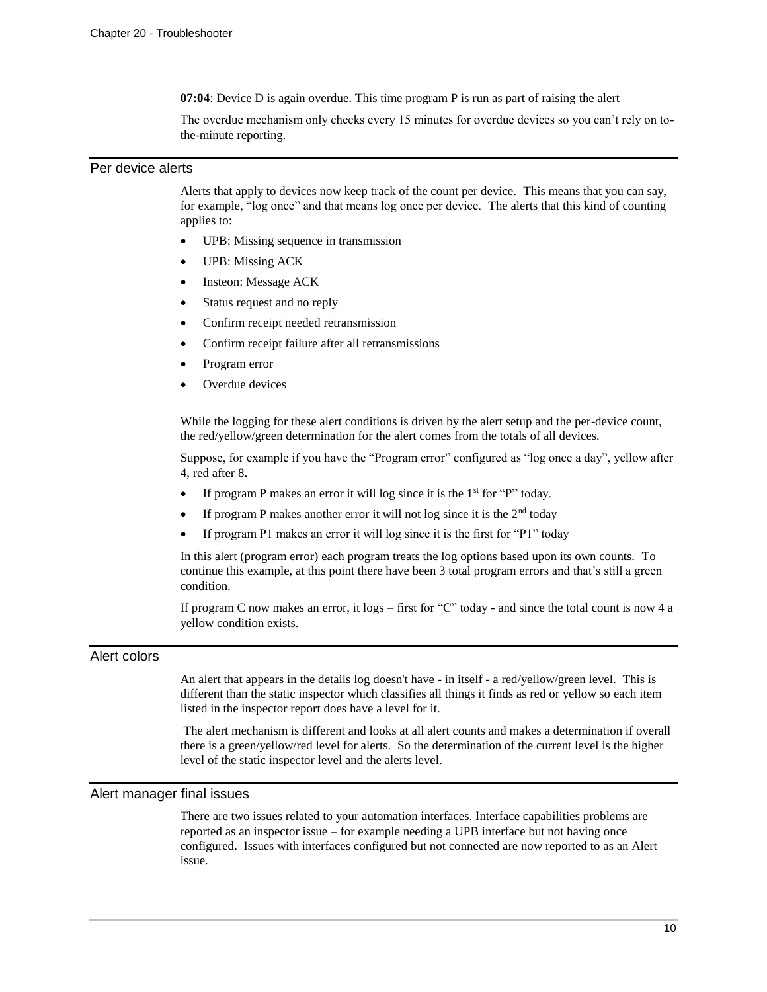**07:04**: Device D is again overdue. This time program P is run as part of raising the alert

The overdue mechanism only checks every 15 minutes for overdue devices so you can't rely on tothe-minute reporting.

#### Per device alerts

Alerts that apply to devices now keep track of the count per device. This means that you can say, for example, "log once" and that means log once per device. The alerts that this kind of counting applies to:

- UPB: Missing sequence in transmission
- UPB: Missing ACK
- Insteon: Message ACK
- Status request and no reply
- Confirm receipt needed retransmission
- Confirm receipt failure after all retransmissions
- Program error
- Overdue devices

While the logging for these alert conditions is driven by the alert setup and the per-device count, the red/yellow/green determination for the alert comes from the totals of all devices.

Suppose, for example if you have the "Program error" configured as "log once a day", yellow after 4, red after 8.

- If program P makes an error it will log since it is the  $1<sup>st</sup>$  for "P" today.
- If program P makes another error it will not log since it is the  $2<sup>nd</sup>$  today
- If program P1 makes an error it will log since it is the first for "P1" today

In this alert (program error) each program treats the log options based upon its own counts. To continue this example, at this point there have been 3 total program errors and that's still a green condition.

If program C now makes an error, it logs – first for "C" today - and since the total count is now 4 a yellow condition exists.

### Alert colors

An alert that appears in the details log doesn't have - in itself - a red/yellow/green level. This is different than the static inspector which classifies all things it finds as red or yellow so each item listed in the inspector report does have a level for it.

The alert mechanism is different and looks at all alert counts and makes a determination if overall there is a green/yellow/red level for alerts. So the determination of the current level is the higher level of the static inspector level and the alerts level.

### Alert manager final issues

There are two issues related to your automation interfaces. Interface capabilities problems are reported as an inspector issue – for example needing a UPB interface but not having once configured. Issues with interfaces configured but not connected are now reported to as an Alert issue.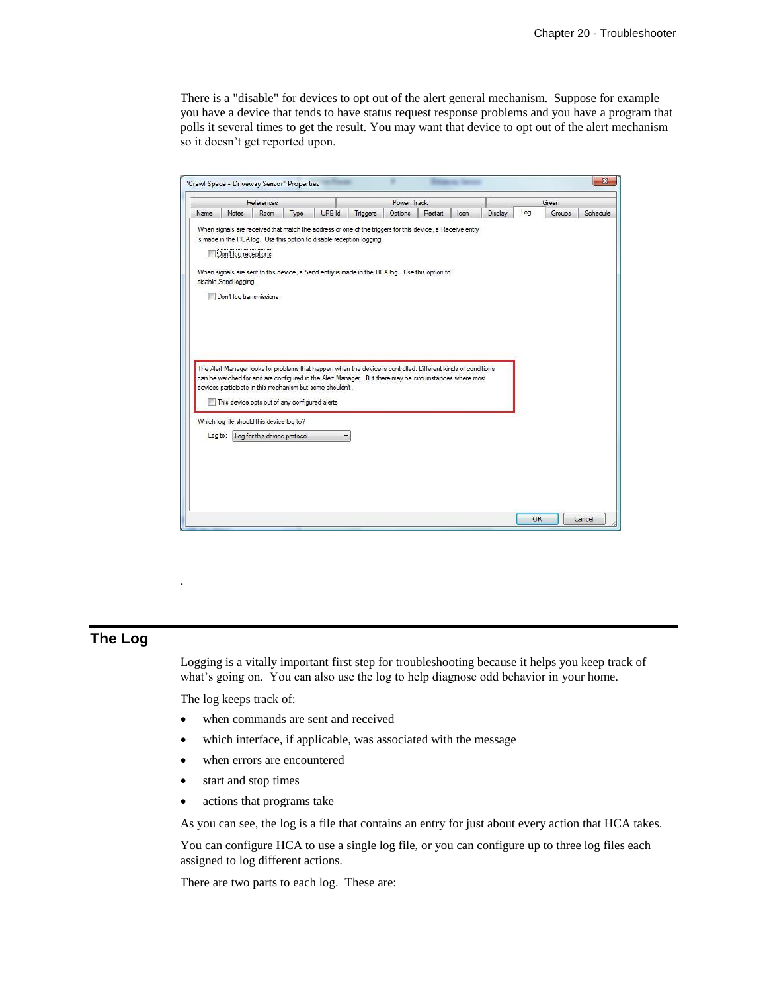There is a "disable" for devices to opt out of the alert general mechanism. Suppose for example you have a device that tends to have status request response problems and you have a program that polls it several times to get the result. You may want that device to opt out of the alert mechanism so it doesn't get reported upon.

| Name | References                                                               |                                                                           |      |                                                           |                                                                                                                                                                                                                                                                                                                                                                                                                                                                                                              | Power Track |  |  |         | Green |        |          |  |
|------|--------------------------------------------------------------------------|---------------------------------------------------------------------------|------|-----------------------------------------------------------|--------------------------------------------------------------------------------------------------------------------------------------------------------------------------------------------------------------------------------------------------------------------------------------------------------------------------------------------------------------------------------------------------------------------------------------------------------------------------------------------------------------|-------------|--|--|---------|-------|--------|----------|--|
|      | Notes                                                                    | Room                                                                      | Type | UPB Id                                                    | Restart<br>Triggers<br>Options<br>Icon                                                                                                                                                                                                                                                                                                                                                                                                                                                                       |             |  |  | Display | Log   | Groups | Schedule |  |
|      | Don't log receptions<br>disable Send logging.<br>Don't log transmissions | This device opts out of any configured alerts                             |      | devices participate in this mechanism but some shouldn't. | When signals are received that match the address or one of the triggers for this device, a Receive entry<br>is made in the HCA log. Use this option to disable reception logging.<br>When signals are sent to this device, a Send entry is made in the HCA log. Use this option to<br>The Alert Manager looks for problems that happen when the device is controlled. Different kinds of conditions<br>can be watched for and are configured in the Alert Manager. But there may be circumstances where most |             |  |  |         |       |        |          |  |
|      | Log to:                                                                  | Which log file should this device log to?<br>Log for this device protocol |      |                                                           |                                                                                                                                                                                                                                                                                                                                                                                                                                                                                                              |             |  |  |         |       |        |          |  |

# **The Log**

.

Logging is a vitally important first step for troubleshooting because it helps you keep track of what's going on. You can also use the log to help diagnose odd behavior in your home.

The log keeps track of:

- when commands are sent and received
- which interface, if applicable, was associated with the message
- when errors are encountered
- start and stop times
- actions that programs take

As you can see, the log is a file that contains an entry for just about every action that HCA takes.

You can configure HCA to use a single log file, or you can configure up to three log files each assigned to log different actions.

There are two parts to each log. These are: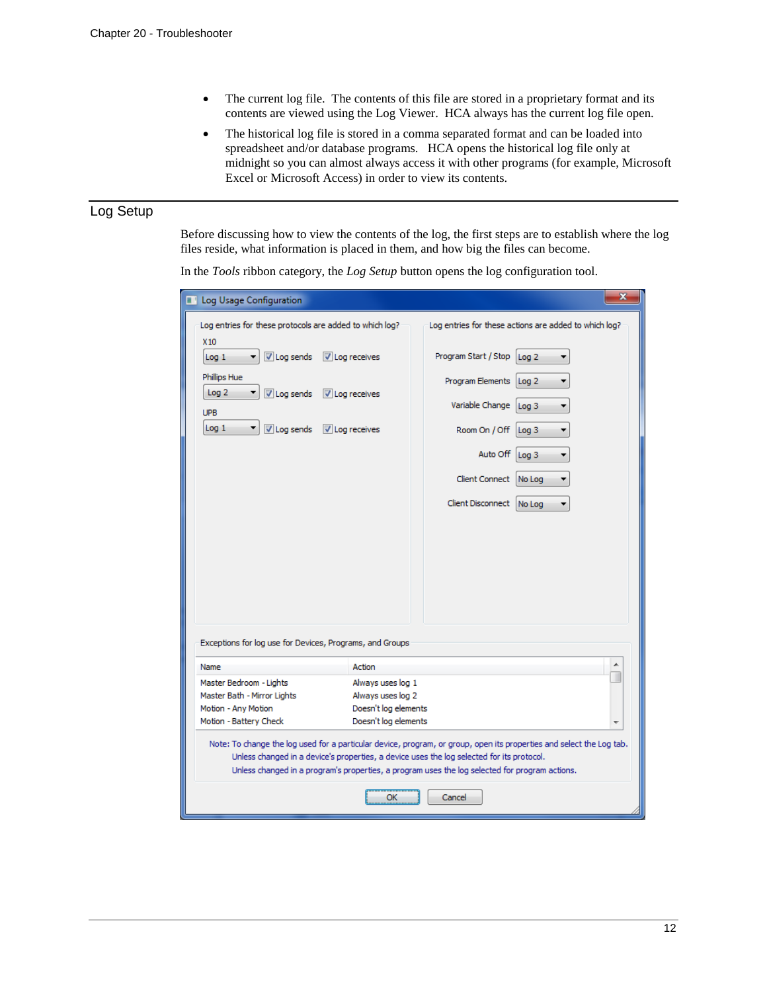- The current log file. The contents of this file are stored in a proprietary format and its contents are viewed using the Log Viewer. HCA always has the current log file open.
- The historical log file is stored in a comma separated format and can be loaded into spreadsheet and/or database programs. HCA opens the historical log file only at midnight so you can almost always access it with other programs (for example, Microsoft Excel or Microsoft Access) in order to view its contents.

# Log Setup

Before discussing how to view the contents of the log, the first steps are to establish where the log files reside, what information is placed in them, and how big the files can become.

In the *Tools* ribbon category, the *Log Setup* button opens the log configuration tool.

| Log Usage Configuration                                                                                                                                                                                                                                                                                             |                              |                          |                                                       | x |
|---------------------------------------------------------------------------------------------------------------------------------------------------------------------------------------------------------------------------------------------------------------------------------------------------------------------|------------------------------|--------------------------|-------------------------------------------------------|---|
| Log entries for these protocols are added to which log?<br>X <sub>10</sub>                                                                                                                                                                                                                                          |                              |                          | Log entries for these actions are added to which log? |   |
| V Log sends<br>Log <sub>1</sub>                                                                                                                                                                                                                                                                                     | $\sqrt{ }$ Log receives      | Program Start / Stop     | Log <sub>2</sub>                                      |   |
| Phillips Hue<br>Log <sub>2</sub><br>$\triangledown$ Log sends                                                                                                                                                                                                                                                       | $\triangledown$ Log receives | Program Elements         | Log <sub>2</sub>                                      |   |
| <b>UPB</b>                                                                                                                                                                                                                                                                                                          |                              | Variable Change          | Log <sub>3</sub>                                      |   |
| Log <sub>1</sub><br>V Log sends                                                                                                                                                                                                                                                                                     | $\triangledown$ Log receives | Room On / Off            | Log <sub>3</sub>                                      |   |
|                                                                                                                                                                                                                                                                                                                     |                              | Auto Off Log 3           |                                                       |   |
|                                                                                                                                                                                                                                                                                                                     |                              | Client Connect No Log    |                                                       |   |
|                                                                                                                                                                                                                                                                                                                     |                              | Client Disconnect No Log |                                                       |   |
|                                                                                                                                                                                                                                                                                                                     |                              |                          |                                                       |   |
|                                                                                                                                                                                                                                                                                                                     |                              |                          |                                                       |   |
|                                                                                                                                                                                                                                                                                                                     |                              |                          |                                                       |   |
|                                                                                                                                                                                                                                                                                                                     |                              |                          |                                                       |   |
| Exceptions for log use for Devices, Programs, and Groups                                                                                                                                                                                                                                                            |                              |                          |                                                       |   |
| Name                                                                                                                                                                                                                                                                                                                | Action                       |                          |                                                       |   |
| Master Bedroom - Lights                                                                                                                                                                                                                                                                                             | Always uses log 1            |                          |                                                       |   |
| Master Bath - Mirror Lights                                                                                                                                                                                                                                                                                         | Always uses log 2            |                          |                                                       |   |
| Motion - Any Motion                                                                                                                                                                                                                                                                                                 | Doesn't log elements         |                          |                                                       |   |
| Motion - Battery Check                                                                                                                                                                                                                                                                                              | Doesn't log elements         |                          |                                                       |   |
| Note: To change the log used for a particular device, program, or group, open its properties and select the Log tab.<br>Unless changed in a device's properties, a device uses the log selected for its protocol.<br>Unless changed in a program's properties, a program uses the log selected for program actions. |                              |                          |                                                       |   |
|                                                                                                                                                                                                                                                                                                                     | OK                           | Cancel                   |                                                       |   |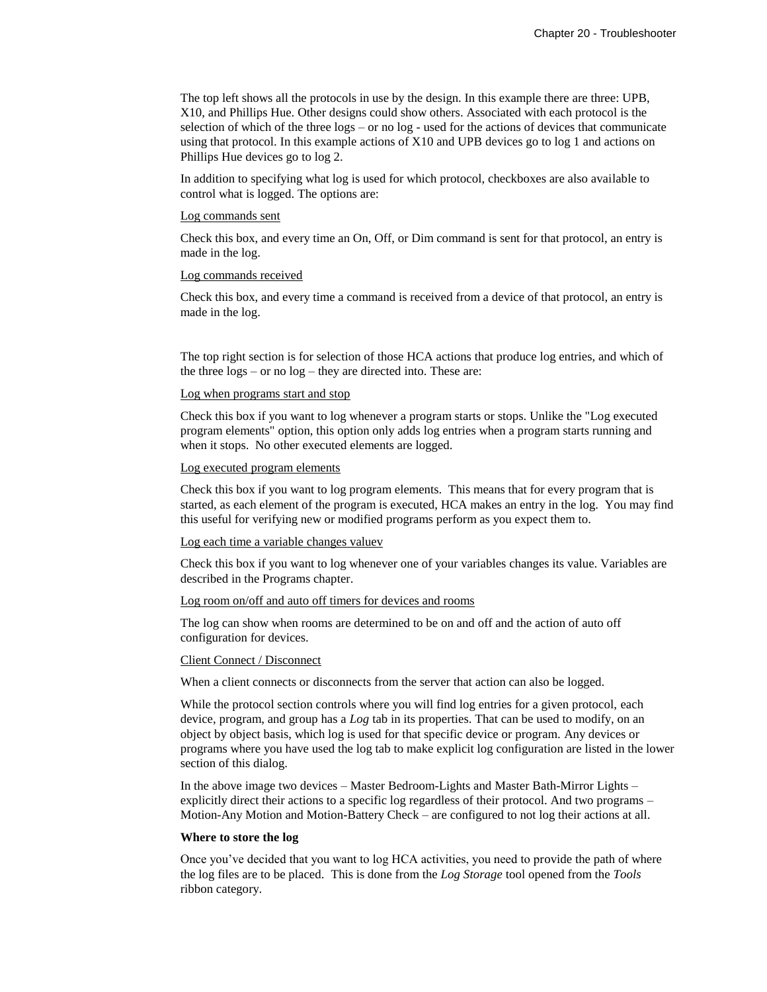The top left shows all the protocols in use by the design. In this example there are three: UPB, X10, and Phillips Hue. Other designs could show others. Associated with each protocol is the selection of which of the three logs – or no log - used for the actions of devices that communicate using that protocol. In this example actions of X10 and UPB devices go to log 1 and actions on Phillips Hue devices go to log 2.

In addition to specifying what log is used for which protocol, checkboxes are also available to control what is logged. The options are:

#### Log commands sent

Check this box, and every time an On, Off, or Dim command is sent for that protocol, an entry is made in the log.

#### Log commands received

Check this box, and every time a command is received from a device of that protocol, an entry is made in the log.

The top right section is for selection of those HCA actions that produce log entries, and which of the three logs – or no log – they are directed into. These are:

#### Log when programs start and stop

Check this box if you want to log whenever a program starts or stops. Unlike the "Log executed program elements" option, this option only adds log entries when a program starts running and when it stops. No other executed elements are logged.

#### Log executed program elements

Check this box if you want to log program elements. This means that for every program that is started, as each element of the program is executed, HCA makes an entry in the log. You may find this useful for verifying new or modified programs perform as you expect them to.

#### Log each time a variable changes valuev

Check this box if you want to log whenever one of your variables changes its value. Variables are described in the Programs chapter.

#### Log room on/off and auto off timers for devices and rooms

The log can show when rooms are determined to be on and off and the action of auto off configuration for devices.

#### Client Connect / Disconnect

When a client connects or disconnects from the server that action can also be logged.

While the protocol section controls where you will find log entries for a given protocol, each device, program, and group has a *Log* tab in its properties. That can be used to modify, on an object by object basis, which log is used for that specific device or program. Any devices or programs where you have used the log tab to make explicit log configuration are listed in the lower section of this dialog.

In the above image two devices – Master Bedroom-Lights and Master Bath-Mirror Lights – explicitly direct their actions to a specific log regardless of their protocol. And two programs – Motion-Any Motion and Motion-Battery Check – are configured to not log their actions at all.

#### **Where to store the log**

Once you've decided that you want to log HCA activities, you need to provide the path of where the log files are to be placed. This is done from the *Log Storage* tool opened from the *Tools* ribbon category.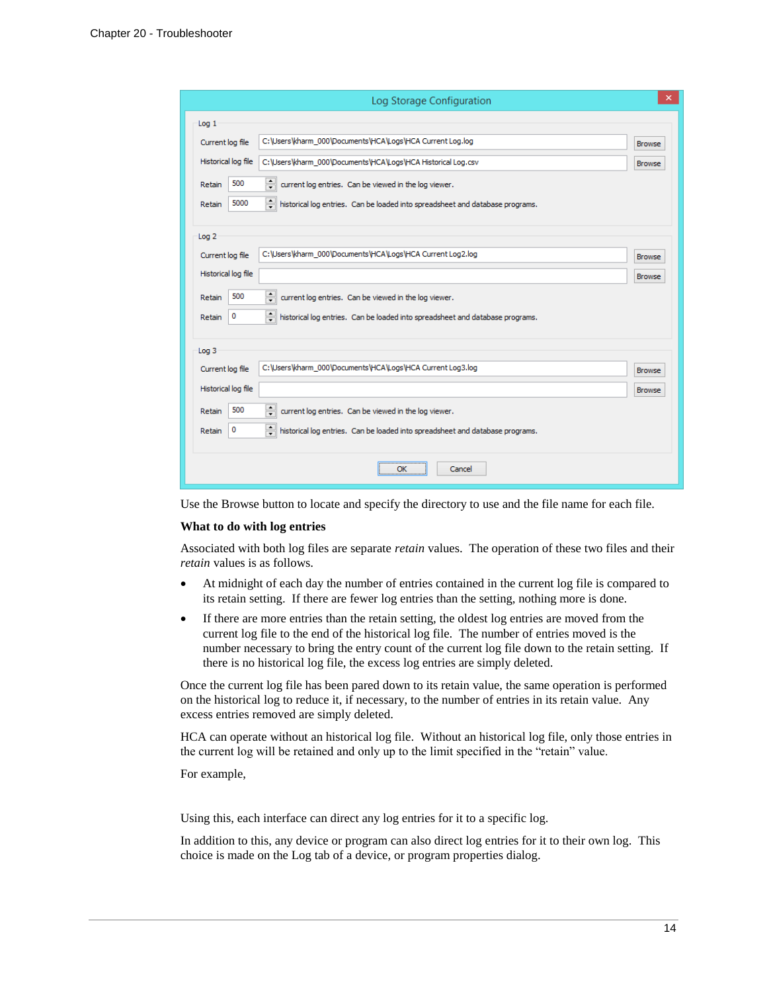|                     | Log Storage Configuration                                                               |               |
|---------------------|-----------------------------------------------------------------------------------------|---------------|
| Log <sub>1</sub>    |                                                                                         |               |
| Current log file    | C:\Users\kharm_000\Documents\HCA\Logs\HCA Current Log.log                               | <b>Browse</b> |
| Historical log file | C:\Users\kharm_000\Documents\HCA\Logs\HCA Historical Log.csv                            | <b>Browse</b> |
| 500<br>Retain       | $\div$<br>current log entries. Can be viewed in the log viewer.                         |               |
| 5000<br>Retain      | 칅<br>historical log entries. Can be loaded into spreadsheet and database programs.      |               |
|                     |                                                                                         |               |
| Log <sub>2</sub>    |                                                                                         |               |
| Current log file    | C:\Users\kharm_000\Documents\HCA\Logs\HCA Current Log2.log                              | <b>Browse</b> |
| Historical log file |                                                                                         | <b>Browse</b> |
| 500<br>Retain       | $\hat{\mathbf{z}}$<br>current log entries. Can be viewed in the log viewer.             |               |
| 0<br>Retain         | 췌<br>historical log entries. Can be loaded into spreadsheet and database programs.      |               |
|                     |                                                                                         |               |
| Log <sub>3</sub>    |                                                                                         |               |
| Current log file    | C:\Users\kharm_000\Documents\HCA\Logs\HCA Current Log3.log                              | <b>Browse</b> |
| Historical log file |                                                                                         | <b>Browse</b> |
| 500<br>Retain       | $\div$<br>current log entries. Can be viewed in the log viewer.                         |               |
| 0<br>Retain         | $\div$<br>historical log entries. Can be loaded into spreadsheet and database programs. |               |
|                     |                                                                                         |               |
|                     | OK<br>Cancel                                                                            |               |

Use the Browse button to locate and specify the directory to use and the file name for each file.

#### **What to do with log entries**

Associated with both log files are separate *retain* values. The operation of these two files and their *retain* values is as follows.

- At midnight of each day the number of entries contained in the current log file is compared to its retain setting. If there are fewer log entries than the setting, nothing more is done.
- If there are more entries than the retain setting, the oldest log entries are moved from the current log file to the end of the historical log file. The number of entries moved is the number necessary to bring the entry count of the current log file down to the retain setting. If there is no historical log file, the excess log entries are simply deleted.

Once the current log file has been pared down to its retain value, the same operation is performed on the historical log to reduce it, if necessary, to the number of entries in its retain value. Any excess entries removed are simply deleted.

HCA can operate without an historical log file. Without an historical log file, only those entries in the current log will be retained and only up to the limit specified in the "retain" value.

For example,

Using this, each interface can direct any log entries for it to a specific log.

In addition to this, any device or program can also direct log entries for it to their own log. This choice is made on the Log tab of a device, or program properties dialog.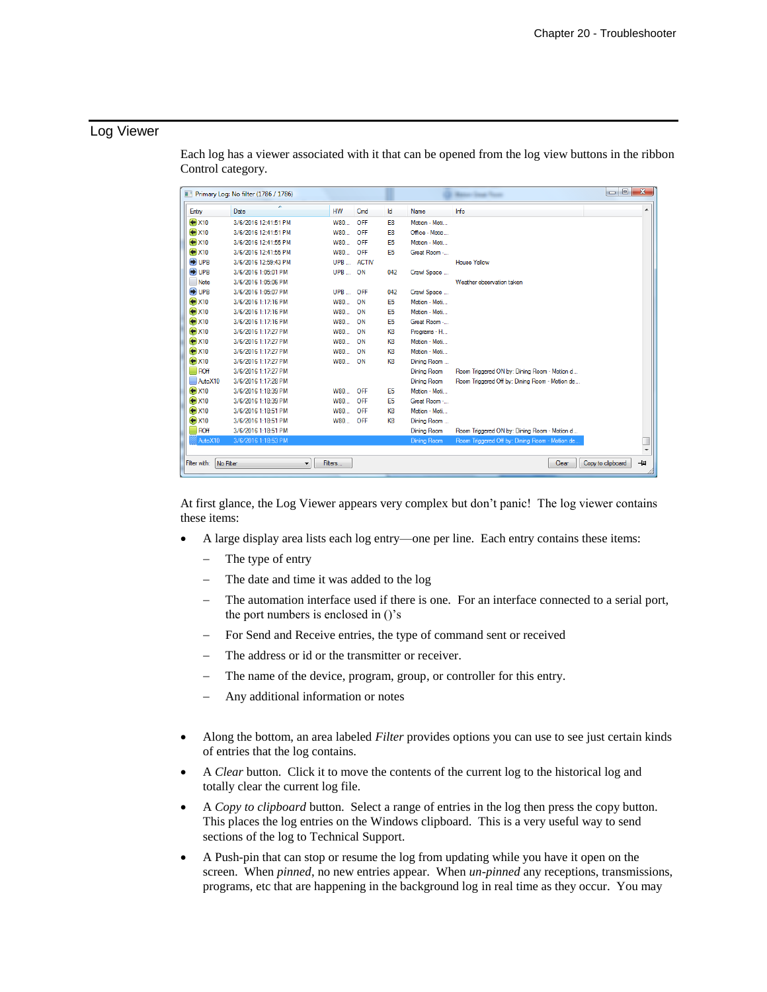# Log Viewer

 $\begin{array}{|c|c|c|c|c|}\hline \multicolumn{1}{|c|}{\mathbf{E}} & \multicolumn{1}{|c|}{\mathbf{X}} \\\hline \end{array}$ Primary Log: No filter (1786 / 1786) Entry Date **HW** Cmd Id Name 3/6/2016 12:41:51 PM  $\bigoplus$ X10 OFF W80... E<sub>8</sub> Motion - Moti.  $\bigoplus$ X10 3/6/2016 12:41:51 PM W80... OFF E8 Office - Motio..  $\bigoplus$ X10 3/6/2016 12:41:55 PM W80... OFF E<sub>5</sub> Motion - Moti..  $\bigoplus$ X10 3/6/2016 12:41:55 PM W80... OFF E<sub>5</sub> Great Room -..  $\n<sup>①</sup>UPB$ 3/6/2016 12:59:43 PM UPB ... ACTIV **House Yellow** 3/6/2016 1:05:01 PM O UPB UPB ... ON 042 Crawl Space ... 3/6/2016 1:05:06 PM  $\n **Note**\n$ Weather observation taker 3/6/2016 1:05:07 PM O UPB UPB ... OFF 042 Crawl Space ...

Motion - Moti...

Motion - Moti..

Great Room -..

Programs - H..

Motion - Moti..

Motion - Moti..

Dining Room ...

Dining Room

**Dining Room** 

Motion - Moti..

Great Room -..

Motion - Moti..

Dining Room ..

Dining Room

Room Triggered ON by: Dining Room - Motion d.,

Room Triggered Off by: Dining Room - Motion de.

Room Triggered ON by: Dining Room - Motion d.

E<sub>5</sub>

E<sub>5</sub>

F5

K8

K8

K8

K<sub>8</sub>

E5

E<sub>5</sub>

K8

K<sub>8</sub>

W80... ON

W80... ON

W80... ON

W80... ON

W80... ON

W80... ON

W80... OFF

W80... OFF

W80... OFF

W80... OFF

W80... ON

| Each log has a viewer associated with it that can be opened from the log view buttons in the ribbon |  |  |  |  |
|-----------------------------------------------------------------------------------------------------|--|--|--|--|
| Control category.                                                                                   |  |  |  |  |

| Filter with: No Filter<br>Filters                                                             | Copy to clipboard   -[2]<br>Clear |  |
|-----------------------------------------------------------------------------------------------|-----------------------------------|--|
| At first glance, the Log Viewer appears very complex but don't panic! The log viewer contains |                                   |  |

these items: • A large display area lists each log entry—one per line. Each entry contains these items:

The type of entry

3/6/2016 1:17:16 PM

3/6/2016 1:17:16 PM

3/6/2016 1:17:16 PM

3/6/2016 1:17:27 PM

3/6/2016 1:17:27 PM

3/6/2016 1:17:27 PM

3/6/2016 1:17:27 PM

3/6/2016 1:17:27 PM

3/6/2016 1:17:28 PM

3/6/2016 1:18:39 PM

3/6/2016 1:18:39 PM

3/6/2016 1:18:51 PM

3/6/2016 1:18:51 PM

3/6/2016 1:18:51 PM

 $\bigoplus$ X10

 $\ddot{•}$  X10

 $\bigoplus$ X10

 $\ddot{•}$  X10

 $\bigoplus$ X10

 $\bigoplus$ X10

 $\bigoplus$ X10

 $\Box$ ROff

 $\bigoplus$  X10

 $\bigoplus$ X10

 $\bigoplus$ X10

 $\bigoplus$ X10

 $\Box$ ROff

AutoX10

- The date and time it was added to the log
- The automation interface used if there is one. For an interface connected to a serial port, the port numbers is enclosed in ()'s
- For Send and Receive entries, the type of command sent or received
- The address or id or the transmitter or receiver.
- The name of the device, program, group, or controller for this entry.
- Any additional information or notes
- Along the bottom, an area labeled *Filter* provides options you can use to see just certain kinds of entries that the log contains.
- A *Clear* button. Click it to move the contents of the current log to the historical log and totally clear the current log file.
- A *Copy to clipboard* button. Select a range of entries in the log then press the copy button. This places the log entries on the Windows clipboard. This is a very useful way to send sections of the log to Technical Support.
- A Push-pin that can stop or resume the log from updating while you have it open on the screen. When *pinned*, no new entries appear. When *un-pinned* any receptions, transmissions, programs, etc that are happening in the background log in real time as they occur. You may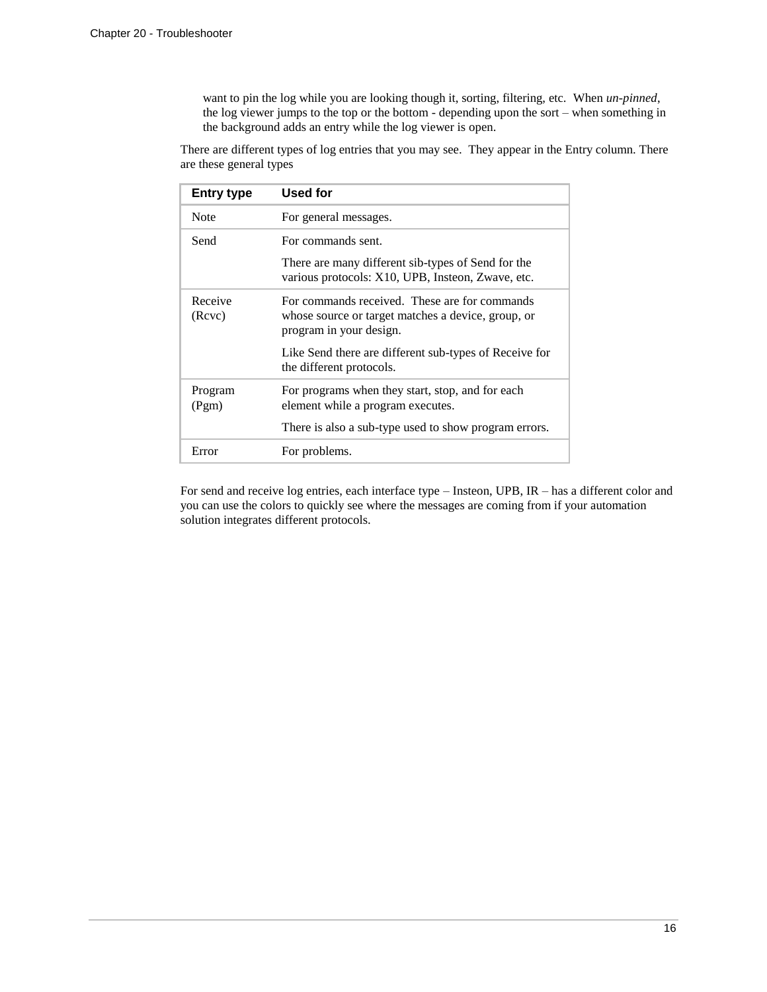want to pin the log while you are looking though it, sorting, filtering, etc. When *un-pinned*, the log viewer jumps to the top or the bottom - depending upon the sort – when something in the background adds an entry while the log viewer is open.

There are different types of log entries that you may see. They appear in the Entry column. There are these general types

| <b>Entry type</b> | Used for                                                                                                                       |  |
|-------------------|--------------------------------------------------------------------------------------------------------------------------------|--|
| <b>Note</b>       | For general messages.                                                                                                          |  |
| Send              | For commands sent.                                                                                                             |  |
|                   | There are many different sib-types of Send for the<br>various protocols: X10, UPB, Insteon, Zwave, etc.                        |  |
| Receive<br>(Rcvc) | For commands received. These are for commands<br>whose source or target matches a device, group, or<br>program in your design. |  |
|                   | Like Send there are different sub-types of Receive for<br>the different protocols.                                             |  |
| Program<br>(Pgm)  | For programs when they start, stop, and for each<br>element while a program executes.                                          |  |
|                   | There is also a sub-type used to show program errors.                                                                          |  |
| Error             | For problems.                                                                                                                  |  |

For send and receive log entries, each interface type – Insteon, UPB, IR – has a different color and you can use the colors to quickly see where the messages are coming from if your automation solution integrates different protocols.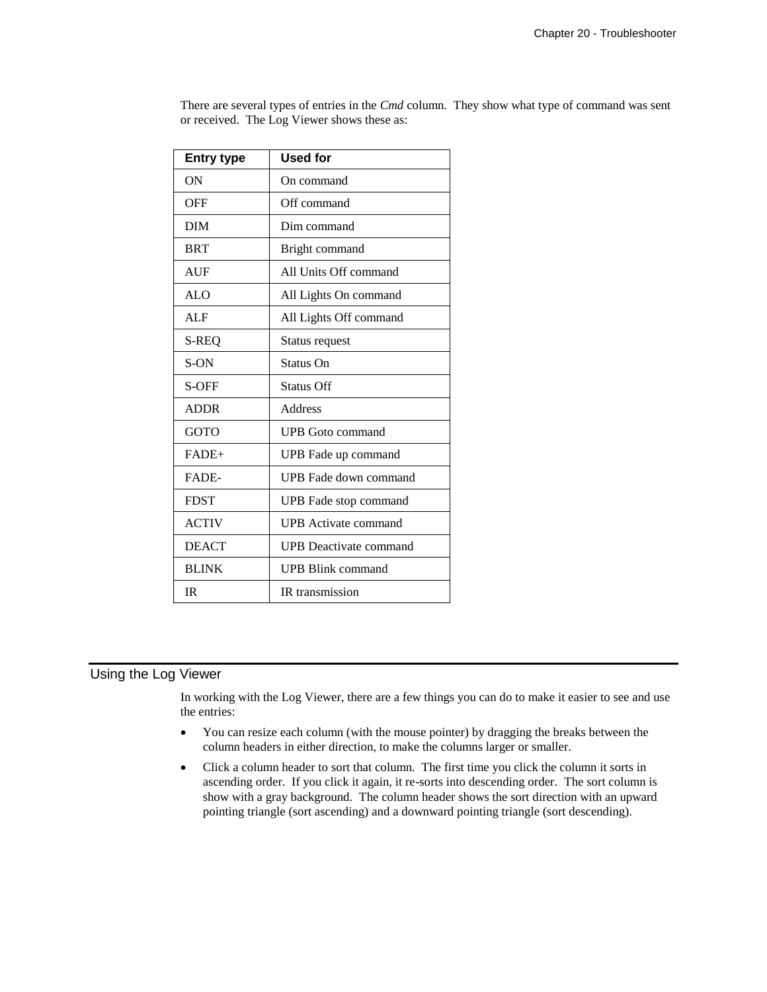| <b>Entry type</b> | <b>Used for</b>               |  |  |
|-------------------|-------------------------------|--|--|
| ON                | On command                    |  |  |
| <b>OFF</b>        | Off command                   |  |  |
| <b>DIM</b>        | Dim command                   |  |  |
| <b>BRT</b>        | Bright command                |  |  |
| <b>AUF</b>        | All Units Off command         |  |  |
| <b>ALO</b>        | All Lights On command         |  |  |
| <b>ALF</b>        | All Lights Off command        |  |  |
| S-REQ             | Status request                |  |  |
| S-ON              | Status On                     |  |  |
| S-OFF             | Status Off                    |  |  |
| <b>ADDR</b>       | Address                       |  |  |
| <b>GOTO</b>       | <b>UPB</b> Goto command       |  |  |
| $FADE+$           | UPB Fade up command           |  |  |
| FADE-             | UPB Fade down command         |  |  |
| <b>FDST</b>       | UPB Fade stop command         |  |  |
| <b>ACTIV</b>      | <b>UPB</b> Activate command   |  |  |
| <b>DEACT</b>      | <b>UPB</b> Deactivate command |  |  |
| <b>BLINK</b>      | UPB Blink command             |  |  |
| <b>IR</b>         | IR transmission               |  |  |

There are several types of entries in the *Cmd* column. They show what type of command was sent or received. The Log Viewer shows these as:

# Using the Log Viewer

In working with the Log Viewer, there are a few things you can do to make it easier to see and use the entries:

- You can resize each column (with the mouse pointer) by dragging the breaks between the column headers in either direction, to make the columns larger or smaller.
- Click a column header to sort that column. The first time you click the column it sorts in ascending order. If you click it again, it re-sorts into descending order. The sort column is show with a gray background. The column header shows the sort direction with an upward pointing triangle (sort ascending) and a downward pointing triangle (sort descending).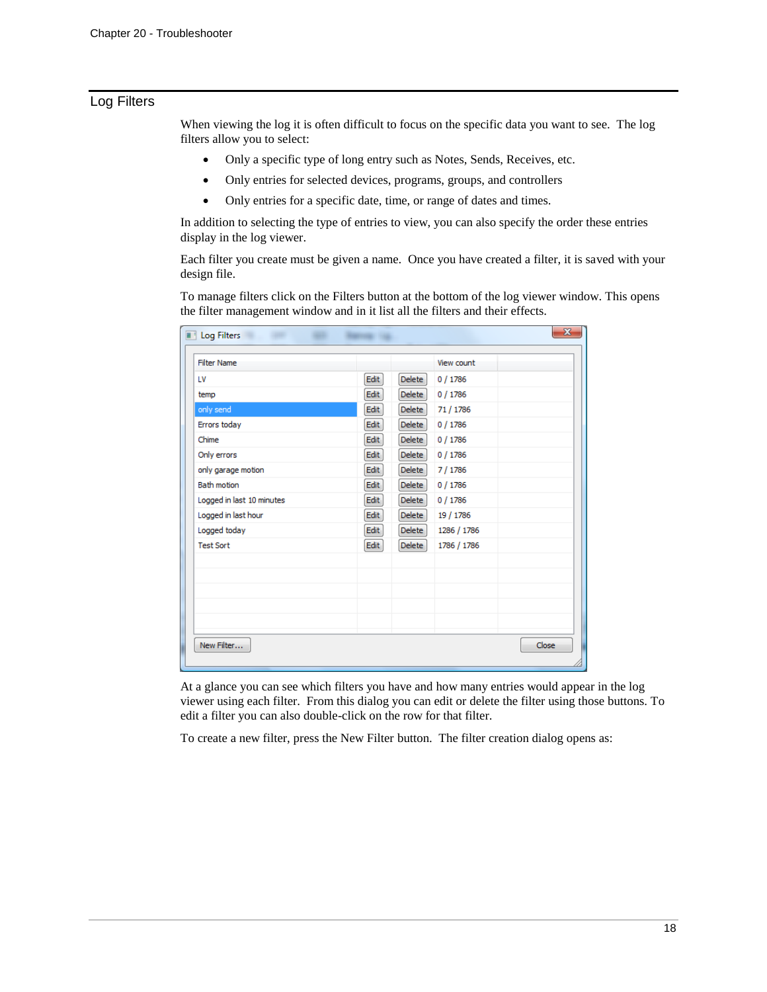# Log Filters

When viewing the log it is often difficult to focus on the specific data you want to see. The log filters allow you to select:

- Only a specific type of long entry such as Notes, Sends, Receives, etc.
- Only entries for selected devices, programs, groups, and controllers
- Only entries for a specific date, time, or range of dates and times.

In addition to selecting the type of entries to view, you can also specify the order these entries display in the log viewer.

Each filter you create must be given a name. Once you have created a filter, it is saved with your design file.

To manage filters click on the Filters button at the bottom of the log viewer window. This opens the filter management window and in it list all the filters and their effects.

| <b>Filter Name</b>                                                                                                                                                                                  | Edit<br>Edit<br>Edit<br>Edit<br><b>Edit</b><br><b>Edit</b><br>Edit<br>Edit<br>Edit<br>Edit<br>Edit | Delete<br>Delete<br><b>Delete</b><br>Delete<br>Delete<br><b>Delete</b><br><b>Delete</b><br><b>Delete</b><br>Delete<br>Delete<br><b>Delete</b> | View count<br>0/1786<br>0/1786<br>71 / 1786<br>0/1786<br>0/1786<br>0/1786<br>7/1786<br>0/1786<br>0/1786<br>19 / 1786 |       |
|-----------------------------------------------------------------------------------------------------------------------------------------------------------------------------------------------------|----------------------------------------------------------------------------------------------------|-----------------------------------------------------------------------------------------------------------------------------------------------|----------------------------------------------------------------------------------------------------------------------|-------|
| LV<br>temp<br>only send<br>Errors today<br>Chime<br>Only errors<br>only garage motion<br><b>Bath motion</b><br>Logged in last 10 minutes<br>Logged in last hour<br>Logged today<br><b>Test Sort</b> |                                                                                                    |                                                                                                                                               |                                                                                                                      |       |
|                                                                                                                                                                                                     |                                                                                                    |                                                                                                                                               |                                                                                                                      |       |
|                                                                                                                                                                                                     |                                                                                                    |                                                                                                                                               |                                                                                                                      |       |
|                                                                                                                                                                                                     |                                                                                                    |                                                                                                                                               |                                                                                                                      |       |
|                                                                                                                                                                                                     |                                                                                                    |                                                                                                                                               |                                                                                                                      |       |
|                                                                                                                                                                                                     |                                                                                                    |                                                                                                                                               |                                                                                                                      |       |
|                                                                                                                                                                                                     |                                                                                                    |                                                                                                                                               |                                                                                                                      |       |
|                                                                                                                                                                                                     |                                                                                                    |                                                                                                                                               |                                                                                                                      |       |
|                                                                                                                                                                                                     |                                                                                                    |                                                                                                                                               |                                                                                                                      |       |
|                                                                                                                                                                                                     |                                                                                                    |                                                                                                                                               |                                                                                                                      |       |
|                                                                                                                                                                                                     |                                                                                                    |                                                                                                                                               |                                                                                                                      |       |
|                                                                                                                                                                                                     |                                                                                                    |                                                                                                                                               | 1286 / 1786                                                                                                          |       |
|                                                                                                                                                                                                     | Edit                                                                                               | <b>Delete</b>                                                                                                                                 | 1786 / 1786                                                                                                          |       |
|                                                                                                                                                                                                     |                                                                                                    |                                                                                                                                               |                                                                                                                      |       |
|                                                                                                                                                                                                     |                                                                                                    |                                                                                                                                               |                                                                                                                      |       |
|                                                                                                                                                                                                     |                                                                                                    |                                                                                                                                               |                                                                                                                      |       |
|                                                                                                                                                                                                     |                                                                                                    |                                                                                                                                               |                                                                                                                      |       |
|                                                                                                                                                                                                     |                                                                                                    |                                                                                                                                               |                                                                                                                      |       |
| New Filter                                                                                                                                                                                          |                                                                                                    |                                                                                                                                               |                                                                                                                      | Close |

At a glance you can see which filters you have and how many entries would appear in the log viewer using each filter. From this dialog you can edit or delete the filter using those buttons. To edit a filter you can also double-click on the row for that filter.

To create a new filter, press the New Filter button. The filter creation dialog opens as: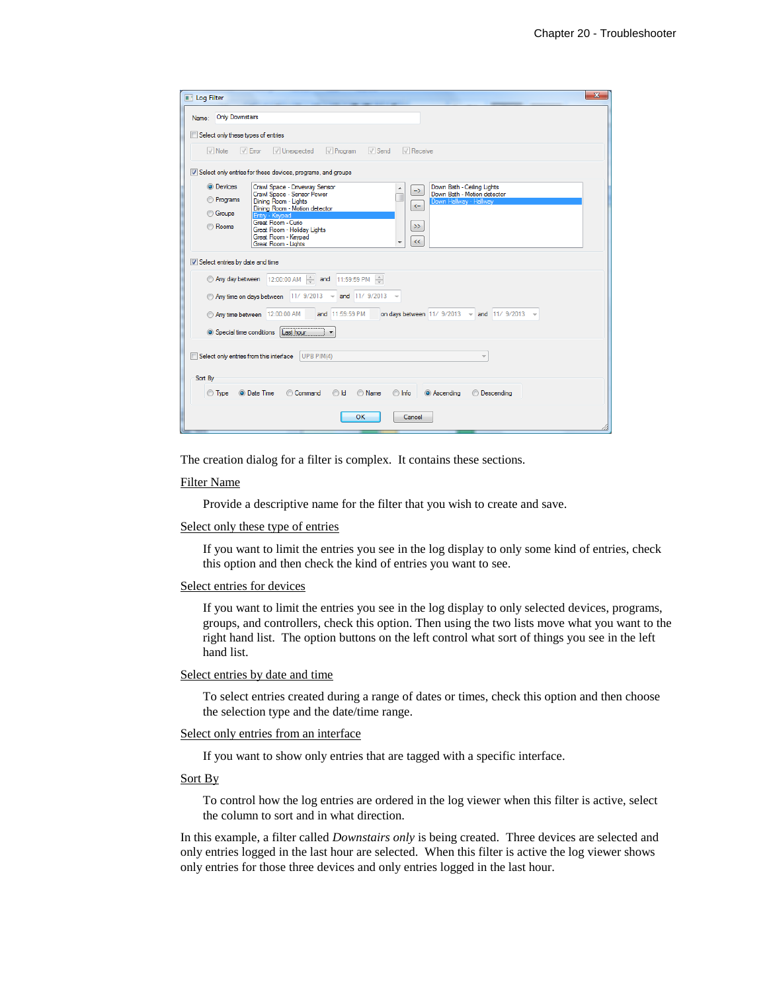| <b>N</b> Log Filter                                         | $\overline{\mathbf{x}}$                                                                                                                                                                                                                                                                                                                        |  |  |  |  |  |  |  |  |
|-------------------------------------------------------------|------------------------------------------------------------------------------------------------------------------------------------------------------------------------------------------------------------------------------------------------------------------------------------------------------------------------------------------------|--|--|--|--|--|--|--|--|
| Name:                                                       | <b>Only Downstairs</b>                                                                                                                                                                                                                                                                                                                         |  |  |  |  |  |  |  |  |
|                                                             |                                                                                                                                                                                                                                                                                                                                                |  |  |  |  |  |  |  |  |
|                                                             | Select only these types of entries                                                                                                                                                                                                                                                                                                             |  |  |  |  |  |  |  |  |
|                                                             | $\sqrt{\ }$ Send<br>$\sqrt{\phantom{a}}$ Note<br>$\sqrt{2}$ Error<br><b>√</b> Unexpected<br>$\sqrt{\ }$ Program<br>$\sqrt{ }$ Receive                                                                                                                                                                                                          |  |  |  |  |  |  |  |  |
| Select only entries for these devices, programs, and groups |                                                                                                                                                                                                                                                                                                                                                |  |  |  |  |  |  |  |  |
| <b>O</b> Devices                                            | Crawl Space - Driveway Sensor<br>Down Bath - Ceiling Lights<br>->                                                                                                                                                                                                                                                                              |  |  |  |  |  |  |  |  |
| <b>Programs</b>                                             | Crawl Space - Sensor Power<br>Down Bath - Motion detector<br>Dining Room - Lights<br>Down Hallway - Hallway<br>$\leftarrow$                                                                                                                                                                                                                    |  |  |  |  |  |  |  |  |
| <b>Groups</b>                                               | Dining Room - Motion detector<br>Entry - Keypad                                                                                                                                                                                                                                                                                                |  |  |  |  |  |  |  |  |
| <b>Rooms</b>                                                | Great Room - Curio<br>$\gg$<br>Great Room - Holiday Lights                                                                                                                                                                                                                                                                                     |  |  |  |  |  |  |  |  |
|                                                             | Great Room - Keypad<br>$<<$<br>Great Room - Lights                                                                                                                                                                                                                                                                                             |  |  |  |  |  |  |  |  |
| Select entries by date and time                             | © Any day between 12:00:00 AM → and 11:59:59 PM →<br>Any time on days between   11/ 9/2013 ~<br>and 11/ 9/2013<br>$\rightarrow$<br>and 11:59:59 PM<br>on days between $11/9/2013 \times \text{and} 11/9/2013$<br>Any time between 12:00:00 AM<br>Last hour<br>Special time conditions<br>Select only entries from this interface<br>UPB PIM(4) |  |  |  |  |  |  |  |  |
| Sort By                                                     |                                                                                                                                                                                                                                                                                                                                                |  |  |  |  |  |  |  |  |
| ◯ Type                                                      | <b>O</b> Date Time<br><b>O</b> Descending<br>Command<br>$\odot$ Id<br><b>Name</b><br>lnfo<br>C Ascending                                                                                                                                                                                                                                       |  |  |  |  |  |  |  |  |
|                                                             | OK<br>Cancel                                                                                                                                                                                                                                                                                                                                   |  |  |  |  |  |  |  |  |

The creation dialog for a filter is complex. It contains these sections.

#### Filter Name

Provide a descriptive name for the filter that you wish to create and save.

#### Select only these type of entries

If you want to limit the entries you see in the log display to only some kind of entries, check this option and then check the kind of entries you want to see.

#### Select entries for devices

If you want to limit the entries you see in the log display to only selected devices, programs, groups, and controllers, check this option. Then using the two lists move what you want to the right hand list. The option buttons on the left control what sort of things you see in the left hand list.

#### Select entries by date and time

To select entries created during a range of dates or times, check this option and then choose the selection type and the date/time range.

#### Select only entries from an interface

If you want to show only entries that are tagged with a specific interface.

#### Sort By

To control how the log entries are ordered in the log viewer when this filter is active, select the column to sort and in what direction.

In this example, a filter called *Downstairs only* is being created. Three devices are selected and only entries logged in the last hour are selected. When this filter is active the log viewer shows only entries for those three devices and only entries logged in the last hour.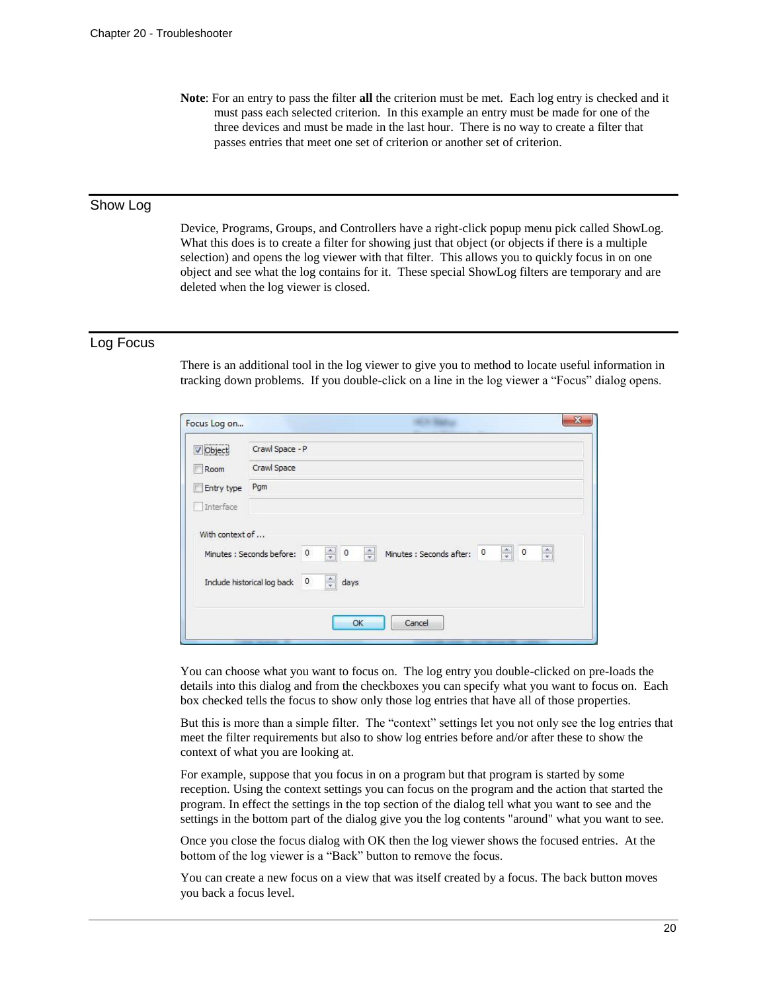**Note**: For an entry to pass the filter **all** the criterion must be met. Each log entry is checked and it must pass each selected criterion. In this example an entry must be made for one of the three devices and must be made in the last hour. There is no way to create a filter that passes entries that meet one set of criterion or another set of criterion.

# Show Log

Device, Programs, Groups, and Controllers have a right-click popup menu pick called ShowLog. What this does is to create a filter for showing just that object (or objects if there is a multiple selection) and opens the log viewer with that filter. This allows you to quickly focus in on one object and see what the log contains for it. These special ShowLog filters are temporary and are deleted when the log viewer is closed.

### Log Focus

There is an additional tool in the log viewer to give you to method to locate useful information in tracking down problems. If you double-click on a line in the log viewer a "Focus" dialog opens.

| Focus Log on    | $\mathbf{x}$                                                                                                                                                                                                                                                                   |  |  |  |  |  |
|-----------------|--------------------------------------------------------------------------------------------------------------------------------------------------------------------------------------------------------------------------------------------------------------------------------|--|--|--|--|--|
| <b>V</b> Object | Crawl Space - P                                                                                                                                                                                                                                                                |  |  |  |  |  |
| Room            | Crawl Space                                                                                                                                                                                                                                                                    |  |  |  |  |  |
| Entry type      | Pgm                                                                                                                                                                                                                                                                            |  |  |  |  |  |
| Interface       |                                                                                                                                                                                                                                                                                |  |  |  |  |  |
| With context of | $\frac{\Delta}{\pi}$<br>$\overline{\phantom{0}}$<br>$\frac{\triangle}{\tau}$<br>$\div$<br>$\,$ 0<br>$\frac{1}{\sqrt{2}}$<br>Minutes : Seconds after: 0<br>$\circ$<br>Minutes : Seconds before:<br>$\frac{\Delta}{\pi}$<br>days<br>$\mathfrak o$<br>Include historical log back |  |  |  |  |  |
|                 | Cancel<br>OK<br><b>STATE OF STATE AND</b><br>$\overline{\phantom{a}}$                                                                                                                                                                                                          |  |  |  |  |  |

You can choose what you want to focus on. The log entry you double-clicked on pre-loads the details into this dialog and from the checkboxes you can specify what you want to focus on. Each box checked tells the focus to show only those log entries that have all of those properties.

But this is more than a simple filter. The "context" settings let you not only see the log entries that meet the filter requirements but also to show log entries before and/or after these to show the context of what you are looking at.

For example, suppose that you focus in on a program but that program is started by some reception. Using the context settings you can focus on the program and the action that started the program. In effect the settings in the top section of the dialog tell what you want to see and the settings in the bottom part of the dialog give you the log contents "around" what you want to see.

Once you close the focus dialog with OK then the log viewer shows the focused entries. At the bottom of the log viewer is a "Back" button to remove the focus.

You can create a new focus on a view that was itself created by a focus. The back button moves you back a focus level.